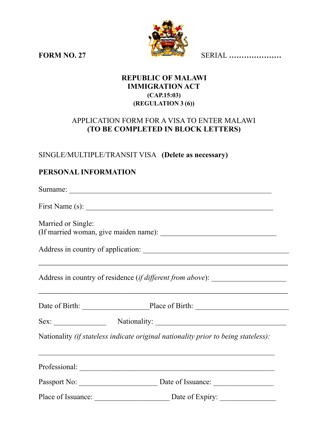

**FORM NO. 27** SERIAL **…………………**

## **REPUBLIC OF MALAWI IMMIGRATION ACT (CAP.15:03) (REGULATION 3 (6))**

# APPLICATION FORM FOR A VISA TO ENTER MALAWI **(TO BE COMPLETED IN BLOCK LETTERS)**

# SINGLE/MULTIPLE/TRANSIT VISA **(Delete as necessary)**

# **PERSONAL INFORMATION**

|                    | First Name (s): $\qquad \qquad$                                                    |
|--------------------|------------------------------------------------------------------------------------|
| Married or Single: |                                                                                    |
|                    |                                                                                    |
|                    | Address in country of residence (if different from above): _____________________   |
|                    | Date of Birth: Place of Birth: Place of Birth:                                     |
|                    |                                                                                    |
|                    | Nationality (if stateless indicate original nationality prior to being stateless): |
|                    |                                                                                    |
|                    |                                                                                    |
|                    | Place of Issuance: Date of Expiry:                                                 |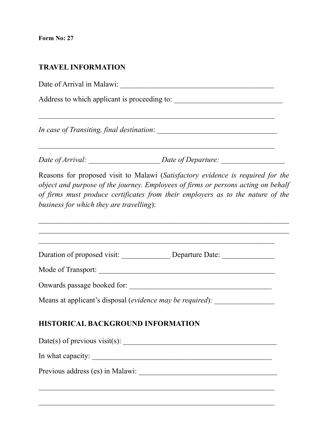**Form No: 27** 

## **TRAVEL INFORMATION**

Date of Arrival in Malawi: \_\_\_\_\_\_\_\_\_\_\_\_\_\_\_\_\_\_\_\_\_\_\_\_\_\_\_\_\_\_\_\_\_\_\_\_\_\_\_\_\_

 $\mathcal{L}_\text{max}$  , and the contribution of the contribution of the contribution of the contribution of the contribution of the contribution of the contribution of the contribution of the contribution of the contribution of t

Address to which applicant is proceeding to:

*In case of Transiting, final destination*:

*Date of Arrival:* \_\_\_\_\_\_\_\_\_\_\_\_\_\_\_\_\_\_\_ *Date of Departure:* \_\_\_\_\_\_\_\_\_\_\_\_\_\_\_\_\_

Reasons for proposed visit to Malawi (*Satisfactory evidence is required for the object and purpose of the journey. Employees of firms or persons acting on behalf of firms must produce certificates from their employers as to the nature of the business for which they are travelling*):

 $\_$  , and the contribution of the contribution of  $\mathcal{L}_\mathcal{A}$  , and the contribution of  $\mathcal{L}_\mathcal{A}$ 

|                                          | Duration of proposed visit: _______________________________Departure Date: _________________________ |
|------------------------------------------|------------------------------------------------------------------------------------------------------|
|                                          |                                                                                                      |
|                                          |                                                                                                      |
|                                          | Means at applicant's disposal (evidence may be required):                                            |
|                                          |                                                                                                      |
| <b>HISTORICAL BACKGROUND INFORMATION</b> |                                                                                                      |
|                                          |                                                                                                      |
| In what capacity:                        |                                                                                                      |
|                                          |                                                                                                      |
|                                          |                                                                                                      |

 $\mathcal{L}_\text{max}$  , and the contribution of the contribution of the contribution of the contribution of the contribution of the contribution of the contribution of the contribution of the contribution of the contribution of t

 $\mathcal{L}_\text{max}$  , and the contribution of the contribution of the contribution of the contribution of the contribution of the contribution of the contribution of the contribution of the contribution of the contribution of t